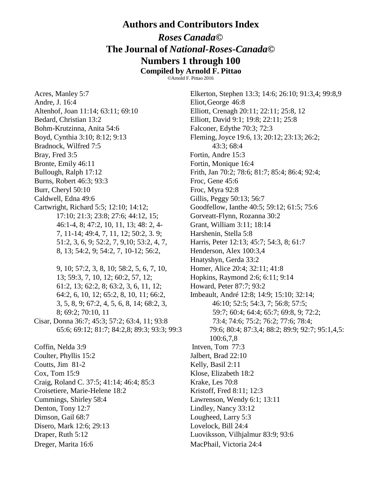## **Authors and Contributors Index**

## *Roses Canada***© The Journal of** *National-Roses-Canada***© Numbers 1 through 100**

**Compiled by Arnold F. Pittao** ©Arnold F. Pittao 2016

Acres, Manley 5:7 Elkerton, Stephen 13:3; 14:6; 26:10; 91:3,4; 99:8,9 Andre, J. 16:4 Eliot,George 46:8 Altenhof, Joan 11:14; 63:11; 69:10 Elliott, Crenagh 20:11; 22:11; 25:8, 12 Bedard, Christian 13:2 Elliott, David 9:1; 19:8; 22:11; 25:8 Bohm-Krutzinna, Anita 54:6 Falconer, Edythe 70:3; 72:3 Boyd, Cynthia 3:10; 8:12; 9:13 Fleming, Joyce 19:6, 13; 20:12; 23:13; 26:2; Bradnock, Wilfred 7:5 43:3; 68:4 Bray, Fred 3:5 Fortin, Andre 15:3 Bronte, Emily 46:11 Fortin, Monique 16:4 Bullough, Ralph 17:12 Frith, Jan 70:2; 78:6; 81:7; 85:4; 86:4; 92:4; Burns, Robert 46:3; 93:3 Froc, Gene 45:6 Burr, Cheryl 50:10 Froc, Myra 92:8 Caldwell, Edna 49:6 Gillis, Peggy 50:13; 56:7 Cartwright, Richard 5:5; 12:10; 14:12; Goodfellow, Ianthe 40:5; 59:12; 61:5; 75:6 17:10; 21:3; 23:8; 27:6; 44:12, 15; Gorveatt-Flynn, Rozanna 30:2 46:1-4, 8; 47:2, 10, 11, 13; 48: 2, 4- Grant, William 3:11; 18:14 7, 11-14; 49:4, 7, 11, 12; 50:2, 3. 9; Harshenin, Stella 5:8 51:2, 3, 6, 9; 52:2, 7, 9,10; 53:2, 4, 7, Harris, Peter 12:13; 45:7; 54:3, 8; 61:7 8, 13; 54:2, 9; 54:2, 7, 10-12; 56:2, Henderson, Alex 100:3,4 9, 10; 57:2, 3, 8, 10; 58:2, 5, 6, 7, 10, Homer, Alice 20:4; 32:11; 41:8 13; 59:3, 7, 10, 12; 60:2, 57, 12; Hopkins, Raymond 2:6; 6:11; 9:14 61:2, 13; 62:2, 8; 63:2, 3, 6, 11, 12; Howard, Peter 87:7; 93:2 64:2, 6, 10, 12; 65:2, 8, 10, 11; 66:2, Imbeault, André 12:8; 14:9; 15:10; 32:14; 3, 5, 8, 9; 67:2, 4, 5, 6, 8, 14; 68:2, 3, 46:10; 52:5; 54:3, 7; 56:8; 57:5; Cisar, Donna 36:7; 45:3; 57:2; 63:4, 11; 93:8 73:4; 74:6; 75:2; 76:2; 77:6; 78:4; Coffin, Nelda 3:9 Intven, Tom 77:3 Coulter, Phyllis 15:2 Jalbert, Brad 22:10 Coutts, Jim 81-2 Kelly, Basil 2:11 Cox, Tom 15:9 Klose, Elizabeth 18:2 Craig, Roland C. 37:5; 41:14; 46:4; 85:3 Krake, Les 70:8 Croisetiere, Marie-Helene 18:2 Kristoff, Fred 8:11; 12:3 Cummings, Shirley 58:4 Lawrenson, Wendy 6:1; 13:11 Denton, Tony 12:7 Lindley, Nancy 33:12 Dimson, Gail 68:7 Lougheed, Larry 5:3 Disero, Mark 12:6; 29:13 Lovelock, Bill 24:4 Draper, Ruth 5:12 Luoviksson, Vilhjalmur 83:9; 93:6 Dreger, Marita 16:6 MacPhail, Victoria 24:4

Hnatyshyn, Gerda 33:2 8; 69:2; 70:10, 11 59:7; 60:4; 64:4; 65:7; 69:8, 9; 72:2; 65:6; 69:12; 81:7; 84:2,8; 89:3; 93:3; 99:3 79:6; 80:4; 87:3,4; 88:2; 89:9; 92:7; 95:1,4,5: 100:6,7,8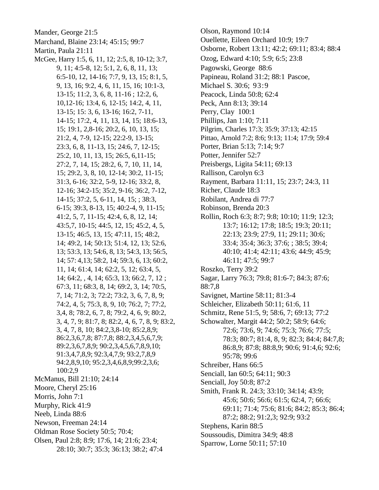Mander, George 21:5 Marchand, Blaine 23:14; 45:15; 99:7 Martin, Paula 21:11 McGee, Harry 1:5, 6, 11, 12; 2:5, 8, 10-12; 3:7, 9, 11; 4:5-8, 12; 5:1, 2, 6, 8, 11, 13;  $6:5-10$ , 12, 14-16; 7:7, 9, 13, 15; 8:1, 5, 9, 13, 16; 9:2, 4, 6, 11, 15, 16; 10:1-3,  $13-15$ ; 11:2, 3, 6, 8, 11-16; 12:2, 6, 10, 12-16; 13:4, 6, 12-15; 14:2, 4, 11, 13-15; 15: 3, 6, 13-16; 16:2, 7-11, 14-15; 17:2, 4, 11, 13, 14, 15; 18:6-13, 15; 19:1, 2,8-16; 20:2, 6, 10, 13, 15; 21:2, 4, 7-9, 12-15; 22:2-9, 13-15; 23:3, 6, 8, 11-13, 15; 24:6, 7, 12-15; 25:2, 10, 11, 13, 15; 26:5, 6, 11-15; 27:2, 7, 14, 15; 28:2, 6, 7, 10, 11, 14, 15; 29:2, 3, 8, 10, 12-14; 30:2, 11-15; 31:3, 6-16; 32:2, 5-9, 12-16; 33:2, 8, 12-16; 34:2-15; 35:2, 9-16; 36:2, 7-12, 14-15; 37:2, 5, 6-11, 14, 15; ; 38:3, 6-15; 39:3, 8-13, 15; 40:2-4, 9, 11-15;  $41:2, 5, 7, 11-15; 42:4, 6, 8, 12, 14;$ 43:5,7, 10-15; 44:5, 12, 15; 45:2, 4, 5, 13-15; 46:5, 13, 15; 47:11, 15; 48:2, 14; 49:2, 14; 50:13; 51:4, 12, 13; 52:6, 13; 53:3, 13; 54:6, 8, 13; 54:3, 13; 56:5, 14; 57: 4, 13; 58: 2, 14; 59: 3, 6, 13; 60: 2, 11, 14; 61:4, 14; 62:2, 5, 12; 63:4, 5, 14; 64:2, , 4, 14; 65:3, 13; 66:2, 7, 12; 67:3, 11; 68:3, 8, 14; 69:2, 3, 14; 70:5, 7, 14; 71:2, 3; 72:2; 73:2, 3, 6, 7, 8, 9; 74:2, 4, 5; 75:3, 8, 9, 10; 76:2, 7; 77:2, 3,4, 8; 78:2, 6, 7, 8; 79:2, 4, 6, 9; 80:2, 3, 4, 7, 9; 81:7, 8; 82:2, 4, 6, 7, 8, 9; 83:2, 3, 4, 7, 8, 10; 84:2,3,8-10; 85:2,8,9; 86:2,3,6,7,8; 87:7,8; 88:2,3,4,5,6,7,9; 89:2,3,6,7,8,9; 90:2,3,4,5,6,7,8,9,10; 91:3,4,7,8,9; 92:3,4,7,9; 93:2,7,8,9 94:2,8,9,10; 95:2,3,4,6,8,9;99:2,3,6; 100:2,9 McManus, Bill 21:10; 24:14 Moore, Cheryl 25:16 Morris, John 7:1 Murphy, Rick 41:9 Neeb, Linda 88:6 Newson, Freeman 24:14 Oldman Rose Society 50:5; 70:4; Olsen, Paul 2:8; 8:9; 17:6, 14; 21:6; 23:4; 28:10; 30:7; 35:3; 36:13; 38:2; 47:4

Olson, Raymond 10:14 Ouellette, Eileen Orchard 10:9; 19:7 Osborne, Robert 13:11; 42:2; 69:11; 83:4; 88:4 Ozog, Edward 4:10; 5:9; 6:5; 23:8 Pagowski, George 88:6 Papineau, Roland 31:2; 88:1 Pascoe, Michael S. 30:6; 93:9 Peacock, Linda 50:8; 62:4 Peck, Ann 8:13: 39:14 Perry, Clay 100:1 Phillips, Jan 1:10; 7:11 Pilgrim, Charles 17:3; 35:9; 37:13; 42:15 Pittao, Arnold 7:2; 8:6; 9:13; 11:4; 17:9; 59:4 Porter, Brian 5:13; 7:14; 9:7 Potter, Jennifer 52:7 Preisbergs, Ligita 54:11; 69:13 Rallison, Carolyn 6:3 Rayment, Barbara 11:11, 15; 23:7; 24:3, 11 Richer, Claude 18:3 Robilant, Andrea di 77:7 Robinson, Brenda 20:3 Rollin, Roch 6:3; 8:7; 9:8; 10:10; 11:9; 12:3; 13:7; 16:12; 17:8; 18:5; 19:3; 20:11; 22:13; 23:9; 27:9, 11; 29:11; 30:6; 33:4; 35:4; 36:3; 37:6; ; 38:5; 39:4; 40:10; 41:4; 42:11; 43:6; 44:9; 45:9; 46:11; 47:5; 99:7 Roszko, Terry 39:2 Sagar, Larry 76:3; 79:8; 81:6-7; 84:3; 87:6; 88:7,8 Savignet, Martine 58:11; 81:3-4 Schleicher, Elizabeth 50:11; 61:6, 11 Schmitz, Rene 51:5, 9; 58:6, 7; 69:13; 77:2 Schowalter, Margit 44:2; 50:2; 58:9; 64:6; 72:6; 73:6, 9; 74:6; 75:3; 76:6; 77:5; 78:3; 80:7; 81:4, 8, 9; 82:3; 84:4; 84:7,8; 86:8,9; 87:8; 88:8,9; 90:6; 91:4,6; 92:6; 95:78; 99:6 Schreiber, Hans 66:5 Senciall, Ian 60:5; 64:11; 90:3 Senciall, Joy 50:8; 87:2 Smith, Frank R. 24:3; 33:10; 34:14; 43:9; 45:6; 50:6; 56:6; 61:5; 62:4, 7; 66:6; 69:11; 71:4; 75:6; 81:6; 84:2; 85:3; 86:4; 87:2; 88:2; 91:2,3; 92:9; 93:2 Stephens, Karin 88:5 Soussoudis, Dimitra 34:9; 48:8 Sparrow, Lorne 50:11; 57:10